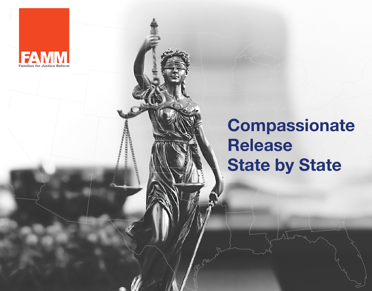

## **Compassionate Release State by State**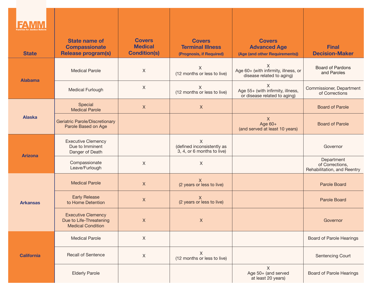| <b>State</b>      | <b>State name of</b><br><b>Compassionate</b><br><b>Release program(s)</b>        | <b>Covers</b><br><b>Medical</b><br><b>Condition(s)</b> | <b>Covers</b><br><b>Terminal Illness</b><br>(Prognosis, if Required) | <b>Covers</b><br><b>Advanced Age</b><br>(Age (and other Requirements)) | <b>Final</b><br><b>Decision-Maker</b>                        |
|-------------------|----------------------------------------------------------------------------------|--------------------------------------------------------|----------------------------------------------------------------------|------------------------------------------------------------------------|--------------------------------------------------------------|
|                   | <b>Medical Parole</b>                                                            | $\sf X$                                                | X<br>(12 months or less to live)                                     | X<br>Age 60+ (with infirmity, illness, or<br>disease related to aging) | <b>Board of Pardons</b><br>and Paroles                       |
| <b>Alabama</b>    | Medical Furlough                                                                 | $\sf X$                                                | X<br>(12 months or less to live)                                     | X<br>Age 55+ (with infirmity, illness,<br>or disease related to aging) | Commissioner, Department<br>of Corrections                   |
|                   | Special<br><b>Medical Parole</b>                                                 | $\mathsf X$                                            | $\mathsf{X}$                                                         |                                                                        | <b>Board of Parole</b>                                       |
| <b>Alaska</b>     | Geriatric Parole/Discretionary<br>Parole Based on Age                            |                                                        |                                                                      | $\mathsf{X}$<br>Age $60+$<br>(and served at least 10 years)            | <b>Board of Parole</b>                                       |
| <b>Arizona</b>    | <b>Executive Clemency</b><br>Due to Imminent<br>Danger of Death                  |                                                        | X<br>(defined inconsistently as<br>3, 4, or 6 months to live)        |                                                                        | Governor                                                     |
|                   | Compassionate<br>Leave/Furlough                                                  | $\mathsf X$                                            | $\mathsf X$                                                          |                                                                        | Department<br>of Corrections,<br>Rehabilitation, and Reentry |
|                   | <b>Medical Parole</b>                                                            | $\boldsymbol{X}$                                       | $\mathsf{X}$<br>(2 years or less to live)                            |                                                                        | <b>Parole Board</b>                                          |
| <b>Arkansas</b>   | <b>Early Release</b><br>to Home Detention                                        | X                                                      | (2 years or less to live)                                            |                                                                        | <b>Parole Board</b>                                          |
|                   | <b>Executive Clemency</b><br>Due to Life-Threatening<br><b>Medical Condition</b> | $\mathsf{X}$                                           | $\mathsf X$                                                          |                                                                        | Governor                                                     |
| <b>California</b> | <b>Medical Parole</b>                                                            | $\mathsf X$                                            |                                                                      |                                                                        | <b>Board of Parole Hearings</b>                              |
|                   | <b>Recall of Sentence</b>                                                        | $\mathsf X$                                            | $\mathsf{X}$<br>(12 months or less to live)                          |                                                                        | Sentencing Court                                             |
|                   | <b>Elderly Parole</b>                                                            |                                                        |                                                                      | X<br>Age 50+ (and served<br>at least 20 years)                         | <b>Board of Parole Hearings</b>                              |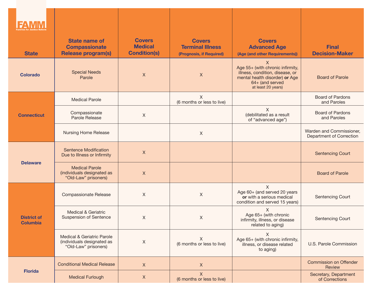| <b>State</b>                          | <b>State name of</b><br><b>Compassionate</b><br><b>Release program(s)</b>        | <b>Covers</b><br><b>Medical</b><br><b>Condition(s)</b> | <b>Covers</b><br><b>Terminal Illness</b><br>(Prognosis, if Required) | <b>Covers</b><br><b>Advanced Age</b><br>(Age (and other Requirements))                                                                                         | <b>Final</b><br><b>Decision-Maker</b>                |
|---------------------------------------|----------------------------------------------------------------------------------|--------------------------------------------------------|----------------------------------------------------------------------|----------------------------------------------------------------------------------------------------------------------------------------------------------------|------------------------------------------------------|
| <b>Colorado</b>                       | <b>Special Needs</b><br>Parole                                                   | $\mathsf X$                                            | $\mathsf X$                                                          | $\mathsf{X}$<br>Age 55+ (with chronic infirmity,<br>illness, condition, disease, or<br>mental health disorder) or Age<br>64+ (and served<br>at least 20 years) | <b>Board of Parole</b>                               |
|                                       | <b>Medical Parole</b>                                                            |                                                        | X<br>(6 months or less to live)                                      |                                                                                                                                                                | <b>Board of Pardons</b><br>and Paroles               |
| <b>Connecticut</b>                    | Compassionate<br>Parole Release                                                  | $\mathsf X$                                            |                                                                      | X<br>(debilitated as a result<br>of "advanced age")                                                                                                            | <b>Board of Pardons</b><br>and Paroles               |
|                                       | <b>Nursing Home Release</b>                                                      |                                                        | $\mathsf X$                                                          |                                                                                                                                                                | Warden and Commissioner,<br>Department of Correction |
| <b>Delaware</b>                       | <b>Sentence Modification</b><br>Due to Illness or Infirmity                      | $\mathsf{X}$                                           |                                                                      |                                                                                                                                                                | <b>Sentencing Court</b>                              |
|                                       | <b>Medical Parole</b><br>(individuals designated as<br>"Old-Law" prisoners)      | $\mathsf X$                                            |                                                                      |                                                                                                                                                                | <b>Board of Parole</b>                               |
| <b>District of</b><br><b>Columbia</b> | <b>Compassionate Release</b>                                                     | $\sf X$                                                | Χ                                                                    | $\sf X$<br>Age 60+ (and served 20 years<br>or with a serious medical<br>condition and served 15 years)                                                         | <b>Sentencing Court</b>                              |
|                                       | <b>Medical &amp; Geriatric</b><br><b>Suspension of Sentence</b>                  | $\mathsf X$                                            | X                                                                    | X<br>Age 65+ (with chronic<br>infirmity, illness, or disease<br>related to aging)                                                                              | <b>Sentencing Court</b>                              |
|                                       | Medical & Geriatric Parole<br>(individuals designated as<br>"Old-Law" prisoners) | X                                                      | X<br>(6 months or less to live)                                      | X<br>Age 65+ (with chronic infirmity,<br>illness, or disease related<br>to aging)                                                                              | U.S. Parole Commission                               |
|                                       | <b>Conditional Medical Release</b>                                               | $\mathsf{X}$                                           | $\mathsf{X}$                                                         |                                                                                                                                                                | <b>Commission on Offender</b><br>Review              |
| <b>Florida</b>                        | <b>Medical Furlough</b>                                                          | X                                                      | X<br>(6 months or less to live)                                      |                                                                                                                                                                | Secretary, Department<br>of Corrections              |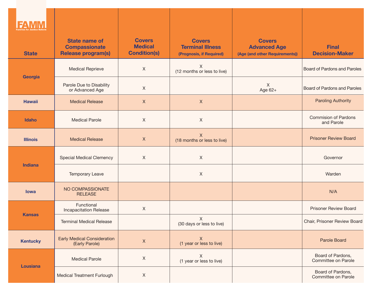| <b>State</b>    | <b>State name of</b><br><b>Compassionate</b><br><b>Release program(s)</b> | <b>Covers</b><br><b>Medical</b><br><b>Condition(s)</b> | <b>Covers</b><br><b>Terminal Illness</b><br>(Prognosis, if Required) | <b>Covers</b><br><b>Advanced Age</b><br>(Age (and other Requirements)) | <b>Final</b><br><b>Decision-Maker</b>     |
|-----------------|---------------------------------------------------------------------------|--------------------------------------------------------|----------------------------------------------------------------------|------------------------------------------------------------------------|-------------------------------------------|
| Georgia         | <b>Medical Reprieve</b>                                                   | $\mathsf{X}$                                           | Χ<br>(12 months or less to live)                                     |                                                                        | Board of Pardons and Paroles              |
|                 | Parole Due to Disability<br>or Advanced Age                               | $\mathsf{X}$                                           |                                                                      | $\sf X$<br>Age 62+                                                     | Board of Pardons and Paroles              |
| <b>Hawaii</b>   | <b>Medical Release</b>                                                    | $\mathsf{X}$                                           | $\boldsymbol{X}$                                                     |                                                                        | <b>Paroling Authority</b>                 |
| <b>Idaho</b>    | <b>Medical Parole</b>                                                     | $\mathsf X$                                            | $\boldsymbol{X}$                                                     |                                                                        | <b>Commision of Pardons</b><br>and Parole |
| <b>Illinois</b> | <b>Medical Release</b>                                                    | $\mathsf X$                                            | $\mathsf{X}$<br>(18 months or less to live)                          |                                                                        | <b>Prisoner Review Board</b>              |
| <b>Indiana</b>  | <b>Special Medical Clemency</b>                                           | $\mathsf X$                                            | $\mathsf X$                                                          |                                                                        | Governor                                  |
|                 | Temporary Leave                                                           |                                                        | $\mathsf X$                                                          |                                                                        | Warden                                    |
| lowa            | NO COMPASSIONATE<br><b>RELEASE</b>                                        |                                                        |                                                                      |                                                                        | N/A                                       |
| <b>Kansas</b>   | Functional<br>Incapacitation Release                                      | $\mathsf{X}$                                           |                                                                      |                                                                        | <b>Prisoner Review Board</b>              |
|                 | <b>Terminal Medical Release</b>                                           |                                                        | X<br>(30 days or less to live)                                       |                                                                        | Chair, Prisoner Review Board              |
| <b>Kentucky</b> | <b>Early Medical Consideration</b><br>(Early Parole)                      | $\mathsf X$                                            | $\boldsymbol{X}$<br>(1 year or less to live)                         |                                                                        | Parole Board                              |
| <b>Lousiana</b> | <b>Medical Parole</b>                                                     | $\mathsf X$                                            | X<br>(1 year or less to live)                                        |                                                                        | Board of Pardons,<br>Committee on Parole  |
|                 | <b>Medical Treatment Furlough</b>                                         | $\mathsf X$                                            |                                                                      |                                                                        | Board of Pardons,<br>Committee on Parole  |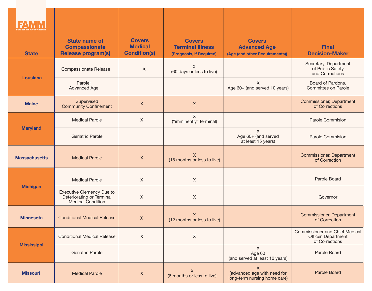| <b>State</b>         | <b>State name of</b><br><b>Compassionate</b><br><b>Release program(s)</b>                 | <b>Covers</b><br><b>Medical</b><br><b>Condition(s)</b> | <b>Covers</b><br><b>Terminal Illness</b><br>(Prognosis, if Required) | <b>Covers</b><br><b>Advanced Age</b><br>(Age (and other Requirements))     | <b>Final</b><br><b>Decision-Maker</b>                                          |
|----------------------|-------------------------------------------------------------------------------------------|--------------------------------------------------------|----------------------------------------------------------------------|----------------------------------------------------------------------------|--------------------------------------------------------------------------------|
| Lousiana             | <b>Compassionate Release</b>                                                              | $\boldsymbol{\mathsf{X}}$                              | X<br>(60 days or less to live)                                       |                                                                            | Secretary, Department<br>of Public Safety<br>and Corrections                   |
|                      | Parole:<br>Advanced Age                                                                   |                                                        |                                                                      | X<br>Age 60+ (and served 10 years)                                         | Board of Pardons,<br>Committee on Parole                                       |
| <b>Maine</b>         | Supervised<br><b>Community Confinement</b>                                                | $\mathsf X$                                            | $\mathsf{X}$                                                         |                                                                            | <b>Commissioner, Department</b><br>of Corrections                              |
|                      | <b>Medical Parole</b>                                                                     | X                                                      | $\mathsf{X}$<br>("imminently" terminal)                              |                                                                            | Parole Commision                                                               |
| <b>Maryland</b>      | Geriatric Parole                                                                          |                                                        |                                                                      | X<br>Age 60+ (and served<br>at least 15 years)                             | Parole Commision                                                               |
| <b>Massachusetts</b> | <b>Medical Parole</b>                                                                     | $\boldsymbol{X}$                                       | X<br>(18 months or less to live)                                     |                                                                            | <b>Commissioner, Department</b><br>of Correction                               |
|                      | <b>Medical Parole</b>                                                                     | X                                                      | X                                                                    |                                                                            | Parole Board                                                                   |
| <b>Michigan</b>      | <b>Executive Clemency Due to</b><br>Deteriorating or Terminal<br><b>Medical Condition</b> | $\boldsymbol{\mathsf{X}}$                              | $\mathsf{X}$                                                         |                                                                            | Governor                                                                       |
| <b>Minnesota</b>     | <b>Conditional Medical Release</b>                                                        | $\mathsf X$                                            | X<br>(12 months or less to live)                                     |                                                                            | <b>Commissioner, Department</b><br>of Correction                               |
| <b>Mississippi</b>   | <b>Conditional Medical Release</b>                                                        | X                                                      | X                                                                    |                                                                            | <b>Commissioner and Chief Medical</b><br>Officer, Department<br>of Corrections |
|                      | Geriatric Parole                                                                          |                                                        |                                                                      | $\mathsf{X}$<br>Age 60<br>(and served at least 10 years)                   | Parole Board                                                                   |
| <b>Missouri</b>      | <b>Medical Parole</b>                                                                     | X                                                      | X<br>(6 months or less to live)                                      | $\mathsf X$<br>(advanced age with need for<br>long-term nursing home care) | <b>Parole Board</b>                                                            |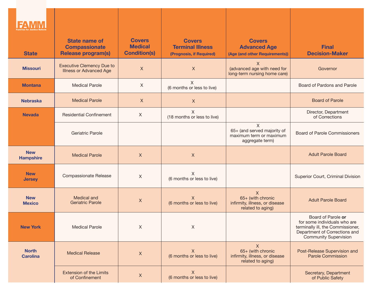| <b>State</b>                    | <b>State name of</b><br><b>Compassionate</b><br><b>Release program(s)</b> | <b>Covers</b><br><b>Medical</b><br><b>Condition(s)</b> | <b>Covers</b><br><b>Terminal Illness</b><br>(Prognosis, if Required) | <b>Covers</b><br><b>Advanced Age</b><br>(Age (and other Requirements))         | <b>Final</b><br><b>Decision-Maker</b>                                                                                                                    |
|---------------------------------|---------------------------------------------------------------------------|--------------------------------------------------------|----------------------------------------------------------------------|--------------------------------------------------------------------------------|----------------------------------------------------------------------------------------------------------------------------------------------------------|
| <b>Missouri</b>                 | <b>Executive Clemency Due to</b><br><b>Illness or Advanced Age</b>        | $\mathsf{X}$                                           | $\mathsf{X}$                                                         | $\mathsf{X}$<br>(advanced age with need for<br>long-term nursing home care)    | Governor                                                                                                                                                 |
| <b>Montana</b>                  | <b>Medical Parole</b>                                                     | X                                                      | X<br>(6 months or less to live)                                      |                                                                                | Board of Pardons and Parole                                                                                                                              |
| <b>Nebraska</b>                 | <b>Medical Parole</b>                                                     | $\mathsf{X}$                                           | $\mathsf{X}$                                                         |                                                                                | <b>Board of Parole</b>                                                                                                                                   |
| <b>Nevada</b>                   | <b>Residential Confinement</b>                                            | X                                                      | $\sf X$<br>(18 months or less to live)                               |                                                                                | Director, Department<br>of Corrections                                                                                                                   |
|                                 | Geriatric Parole                                                          |                                                        |                                                                      | X<br>65+ (and served majority of<br>maximum term or maximum<br>aggregate term) | <b>Board of Parole Commissioners</b>                                                                                                                     |
| <b>New</b><br><b>Hampshire</b>  | <b>Medical Parole</b>                                                     | X                                                      | $\boldsymbol{\mathsf{X}}$                                            |                                                                                | <b>Adult Parole Board</b>                                                                                                                                |
| <b>New</b><br><b>Jersey</b>     | <b>Compassionate Release</b>                                              | $\chi$                                                 | X<br>(6 months or less to live)                                      |                                                                                | Superior Court, Criminal Division                                                                                                                        |
| <b>New</b><br><b>Mexico</b>     | Medical and<br><b>Geriatric Parole</b>                                    | X                                                      | $\mathsf{X}$<br>(6 months or less to live)                           | X<br>65+ (with chronic<br>infirmity, illness, or disease<br>related to aging)  | <b>Adult Parole Board</b>                                                                                                                                |
| <b>New York</b>                 | <b>Medical Parole</b>                                                     | X                                                      | $\mathsf X$                                                          |                                                                                | Board of Parole or<br>for some individuals who are<br>terminally ill, the Commissioner,<br>Department of Corrections and<br><b>Community Supervision</b> |
| <b>North</b><br><b>Carolina</b> | <b>Medical Release</b>                                                    | $\boldsymbol{X}$                                       | X<br>(6 months or less to live)                                      | X<br>65+ (with chronic<br>infirmity, illness, or disease<br>related to aging)  | Post-Release Supervision and<br><b>Parole Commission</b>                                                                                                 |
|                                 | <b>Extension of the Limits</b><br>of Confinement                          | $\mathsf X$                                            | X<br>(6 months or less to live)                                      |                                                                                | Secretary, Department<br>of Public Safety                                                                                                                |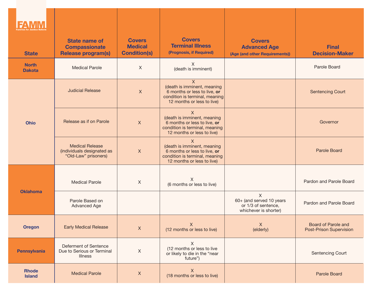| <b>State</b>                  | <b>State name of</b><br><b>Compassionate</b><br><b>Release program(s)</b>    | <b>Covers</b><br><b>Medical</b><br><b>Condition(s)</b> | <b>Covers</b><br><b>Terminal Illness</b><br>(Prognosis, if Required)                                                                            | <b>Covers</b><br><b>Advanced Age</b><br>(Age (and other Requirements))             | <b>Final</b><br><b>Decision-Maker</b>                 |
|-------------------------------|------------------------------------------------------------------------------|--------------------------------------------------------|-------------------------------------------------------------------------------------------------------------------------------------------------|------------------------------------------------------------------------------------|-------------------------------------------------------|
| <b>North</b><br><b>Dakota</b> | <b>Medical Parole</b>                                                        | $\sf X$                                                | X.<br>(death is imminent)                                                                                                                       |                                                                                    | Parole Board                                          |
| <b>Ohio</b>                   | <b>Judicial Release</b>                                                      | $\boldsymbol{X}$                                       | $\mathsf{X}$<br>(death is imminent, meaning<br>6 months or less to live, or<br>condition is terminal, meaning<br>12 months or less to live)     |                                                                                    | <b>Sentencing Court</b>                               |
|                               | Release as if on Parole                                                      | $\mathsf X$                                            | X<br>(death is imminent, meaning<br>6 months or less to live, or<br>condition is terminal, meaning<br>12 months or less to live)                |                                                                                    | Governor                                              |
|                               | <b>Medical Release</b><br>(individuals designated as<br>"Old-Law" prisoners) | $\mathsf X$                                            | $\boldsymbol{X}$<br>(death is imminent, meaning<br>6 months or less to live, or<br>condition is terminal, meaning<br>12 months or less to live) |                                                                                    | <b>Parole Board</b>                                   |
| <b>Oklahoma</b>               | <b>Medical Parole</b>                                                        | $\mathsf{X}$                                           | X<br>(6 months or less to live)                                                                                                                 |                                                                                    | Pardon and Parole Board                               |
|                               | Parole Based on<br><b>Advanced Age</b>                                       |                                                        |                                                                                                                                                 | $\chi$<br>60+ (and served 10 years<br>or 1/3 of sentence,<br>whichever is shorter) | Pardon and Parole Board                               |
| <b>Oregon</b>                 | <b>Early Medical Release</b>                                                 | $\mathsf{X}$                                           | $\mathsf{X}$<br>(12 months or less to live)                                                                                                     | $\mathsf{X}$<br>(elderly)                                                          | <b>Board of Parole and</b><br>Post-Prison Supervision |
| <b>Pennsylvania</b>           | Deferment of Sentence<br>Due to Serious or Terminal<br><b>Illness</b>        | $\mathsf X$                                            | $\boldsymbol{\mathsf{X}}$<br>(12 months or less to live<br>or likely to die in the "near<br>future")                                            |                                                                                    | Sentencing Court                                      |
| <b>Rhode</b><br><b>Island</b> | <b>Medical Parole</b>                                                        | $\boldsymbol{\mathsf{X}}$                              | $\boldsymbol{\mathsf{X}}$<br>(18 months or less to live)                                                                                        |                                                                                    | <b>Parole Board</b>                                   |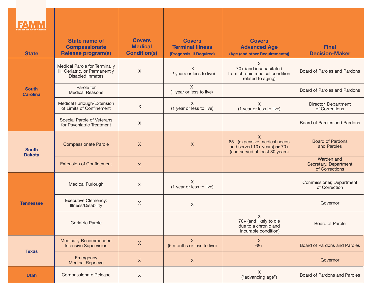| <b>State</b>                    | <b>State name of</b><br><b>Compassionate</b><br><b>Release program(s)</b>                  | <b>Covers</b><br><b>Medical</b><br><b>Condition(s)</b> | <b>Covers</b><br><b>Terminal Illness</b><br>(Prognosis, if Required) | <b>Covers</b><br><b>Advanced Age</b><br>(Age (and other Requirements))                              | <b>Final</b><br><b>Decision-Maker</b>                 |
|---------------------------------|--------------------------------------------------------------------------------------------|--------------------------------------------------------|----------------------------------------------------------------------|-----------------------------------------------------------------------------------------------------|-------------------------------------------------------|
|                                 | Medical Parole for Terminally<br>III, Geriatric, or Permanently<br><b>Disabled Inmates</b> | X                                                      | $\chi$<br>(2 years or less to live)                                  | X<br>70+ (and incapacitated<br>from chronic medical condition<br>related to aging)                  | Board of Paroles and Pardons                          |
| <b>South</b><br><b>Carolina</b> | Parole for<br><b>Medical Reasons</b>                                                       |                                                        | $\times$<br>(1 year or less to live)                                 |                                                                                                     | Board of Paroles and Pardons                          |
|                                 | Medical Furlough/Extension<br>of Limits of Confinement                                     | X                                                      | X<br>(1 year or less to live)                                        | X<br>(1 year or less to live)                                                                       | Director, Department<br>of Corrections                |
|                                 | Special Parole of Veterans<br>for Psychiatric Treatment                                    | $\mathsf{X}$                                           |                                                                      |                                                                                                     | Board of Paroles and Pardons                          |
| <b>South</b><br><b>Dakota</b>   | <b>Compassionate Parole</b>                                                                | $\mathsf{X}$                                           | $\mathsf X$                                                          | X<br>65+ (expensive medical needs<br>and served 10+ years) or 70+<br>(and served at least 30 years) | <b>Board of Pardons</b><br>and Paroles                |
|                                 | <b>Extension of Confinement</b>                                                            | $\mathsf{X}$                                           |                                                                      |                                                                                                     | Warden and<br>Secretary, Department<br>of Corrections |
|                                 | <b>Medical Furlough</b>                                                                    | $\mathsf{X}$                                           | X<br>(1 year or less to live)                                        |                                                                                                     | Commissioner, Department<br>of Correction             |
| <b>Tennessee</b>                | <b>Executive Clemency:</b><br><b>Illness/Disability</b>                                    | $\mathsf X$                                            | X                                                                    |                                                                                                     | Governor                                              |
|                                 | Geriatric Parole                                                                           |                                                        |                                                                      | X<br>70+ (and likely to die<br>due to a chronic and<br>incurable condition)                         | <b>Board of Parole</b>                                |
| <b>Texas</b>                    | <b>Medically Recommended</b><br><b>Intensive Supervision</b>                               | $\mathsf X$                                            | $\mathsf{X}$<br>(6 months or less to live)                           | X<br>$65+$                                                                                          | <b>Board of Pardons and Paroles</b>                   |
|                                 | Emergency<br><b>Medical Reprieve</b>                                                       | $\mathsf{X}$                                           | $\mathsf{X}$                                                         |                                                                                                     | Governor                                              |
| <b>Utah</b>                     | <b>Compassionate Release</b>                                                               | $\mathsf{X}$                                           |                                                                      | X<br>("advancing age")                                                                              | Board of Pardons and Paroles                          |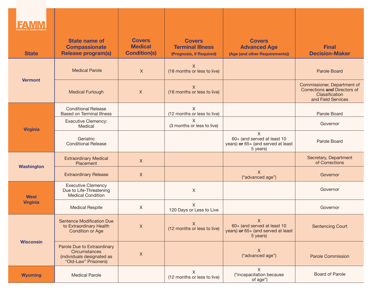| <b>State</b>      | <b>State name of</b><br><b>Compassionate</b><br><b>Release program(s)</b>                          | <b>Covers</b><br><b>Medical</b><br><b>Condition(s)</b> | <b>Covers</b><br><b>Terminal Illness</b><br>(Prognosis, if Required) | <b>Covers</b><br><b>Advanced Age</b><br>(Age (and other Requirements))             | <b>Final</b><br><b>Decision-Maker</b>                                                               |
|-------------------|----------------------------------------------------------------------------------------------------|--------------------------------------------------------|----------------------------------------------------------------------|------------------------------------------------------------------------------------|-----------------------------------------------------------------------------------------------------|
|                   | <b>Medical Parole</b>                                                                              | $\mathsf{X}$                                           | X<br>(18 months or less to live)                                     |                                                                                    | <b>Parole Board</b>                                                                                 |
| <b>Vermont</b>    | <b>Medical Furlough</b>                                                                            | $\mathsf{X}$                                           | X<br>(18 months or less to live)                                     |                                                                                    | Commissioner, Department of<br>Corrections and Directors of<br>Classification<br>and Field Services |
|                   | <b>Conditional Release</b><br><b>Based on Terminal Illness</b>                                     |                                                        | X<br>(12 months or less to live)                                     |                                                                                    | Parole Board                                                                                        |
| <b>Virginia</b>   | <b>Executive Clemency:</b><br>Medical                                                              |                                                        | $\chi$<br>(3 months or less to live)                                 |                                                                                    | Governor                                                                                            |
|                   | Geriatric<br><b>Conditional Release</b>                                                            |                                                        |                                                                      | X<br>60+ (and served at least 10<br>years) or 65+ (and served at least<br>5 years) | Parole Board                                                                                        |
|                   | <b>Extraordinary Medical</b><br>Placement                                                          | $\mathsf{X}$                                           |                                                                      |                                                                                    | Secretary, Department<br>of Corrections                                                             |
| <b>Washington</b> | <b>Extraordinary Release</b>                                                                       | X                                                      |                                                                      | X<br>("advanced age")                                                              | Governor                                                                                            |
| <b>West</b>       | <b>Executive Clemency</b><br>Due to Life-Threatening<br><b>Medical Condition</b>                   |                                                        | $\mathsf X$                                                          |                                                                                    | Governor                                                                                            |
| <b>Virginia</b>   | <b>Medical Respite</b>                                                                             | X                                                      | X<br>120 Days or Less to Live                                        |                                                                                    | Governor                                                                                            |
| <b>Wisconsin</b>  | Sentence Modification Due<br>to Extraordinary Health<br><b>Condition or Age</b>                    | $\boldsymbol{X}$                                       | $\mathsf{X}$<br>(12 months or less to live)                          | X<br>60+ (and served at least 10<br>years) or 65+ (and served at least<br>5 years) | <b>Sentencing Court</b>                                                                             |
|                   | Parole Due to Extraordinary<br>Circumstances<br>(individuals designated as<br>"Old-Law" Prisoners) | $\boldsymbol{X}$                                       |                                                                      | X<br>("advanced age")                                                              | <b>Parole Commission</b>                                                                            |
| <b>Wyoming</b>    | <b>Medical Parole</b>                                                                              |                                                        | X<br>(12 months or less to live)                                     | $\sf X$<br>("incapacitation because<br>of age")                                    | Board of Parole                                                                                     |